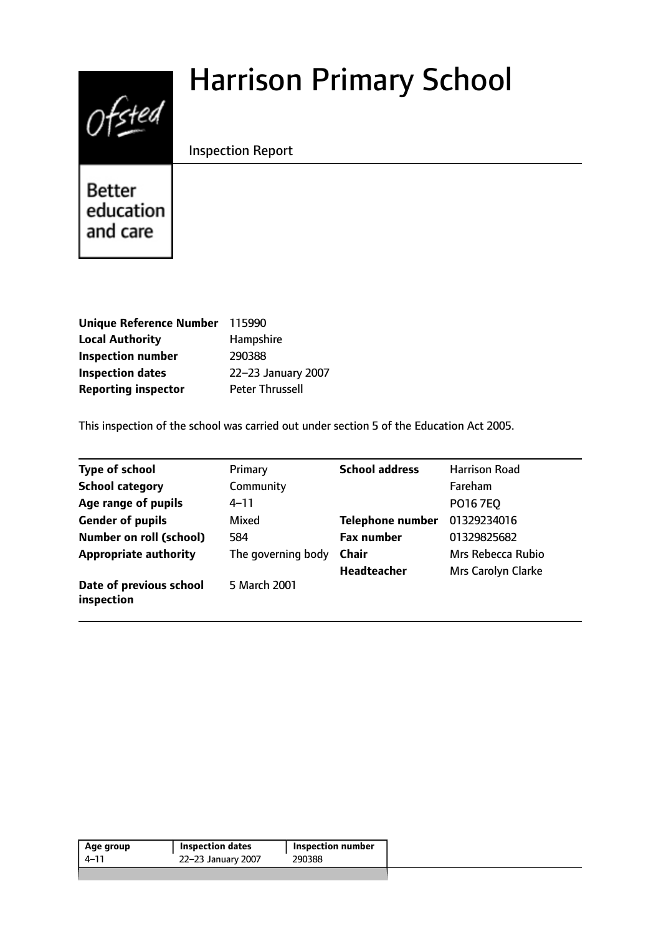# Harrison Primary School



Inspection Report

**Better** education and care

| <b>Unique Reference Number</b> | 115990                 |
|--------------------------------|------------------------|
| <b>Local Authority</b>         | Hampshire              |
| <b>Inspection number</b>       | 290388                 |
| <b>Inspection dates</b>        | 22-23 January 2007     |
| <b>Reporting inspector</b>     | <b>Peter Thrussell</b> |

This inspection of the school was carried out under section 5 of the Education Act 2005.

| <b>Type of school</b>                 | Primary            | <b>School address</b>   | <b>Harrison Road</b> |
|---------------------------------------|--------------------|-------------------------|----------------------|
| <b>School category</b>                | Community          |                         | Fareham              |
| Age range of pupils                   | 4–11               |                         | PO16 7EQ             |
| <b>Gender of pupils</b>               | Mixed              | <b>Telephone number</b> | 01329234016          |
| <b>Number on roll (school)</b>        | 584                | <b>Fax number</b>       | 01329825682          |
| <b>Appropriate authority</b>          | The governing body | <b>Chair</b>            | Mrs Rebecca Rubio    |
|                                       |                    | <b>Headteacher</b>      | Mrs Carolyn Clarke   |
| Date of previous school<br>inspection | 5 March 2001       |                         |                      |

| Age group | Inspection dates   | <b>Inspection number</b> |
|-----------|--------------------|--------------------------|
| 4–11      | 22-23 January 2007 | 290388                   |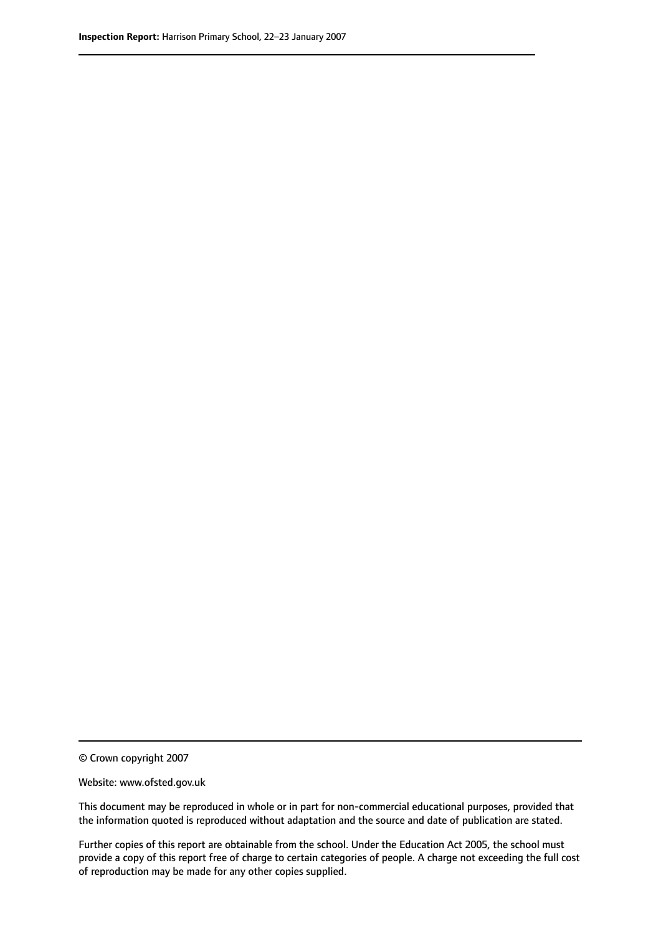© Crown copyright 2007

Website: www.ofsted.gov.uk

This document may be reproduced in whole or in part for non-commercial educational purposes, provided that the information quoted is reproduced without adaptation and the source and date of publication are stated.

Further copies of this report are obtainable from the school. Under the Education Act 2005, the school must provide a copy of this report free of charge to certain categories of people. A charge not exceeding the full cost of reproduction may be made for any other copies supplied.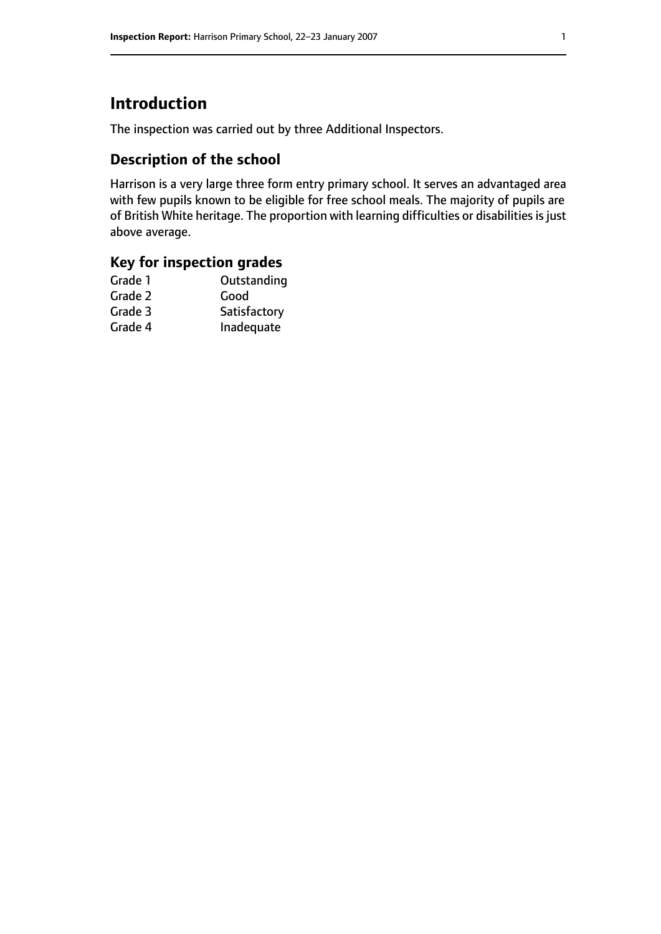## **Introduction**

The inspection was carried out by three Additional Inspectors.

## **Description of the school**

Harrison is a very large three form entry primary school. It serves an advantaged area with few pupils known to be eligible for free school meals. The majority of pupils are of British White heritage. The proportion with learning difficulties or disabilities is just above average.

## **Key for inspection grades**

| Outstanding  |
|--------------|
| Good         |
| Satisfactory |
| Inadequate   |
|              |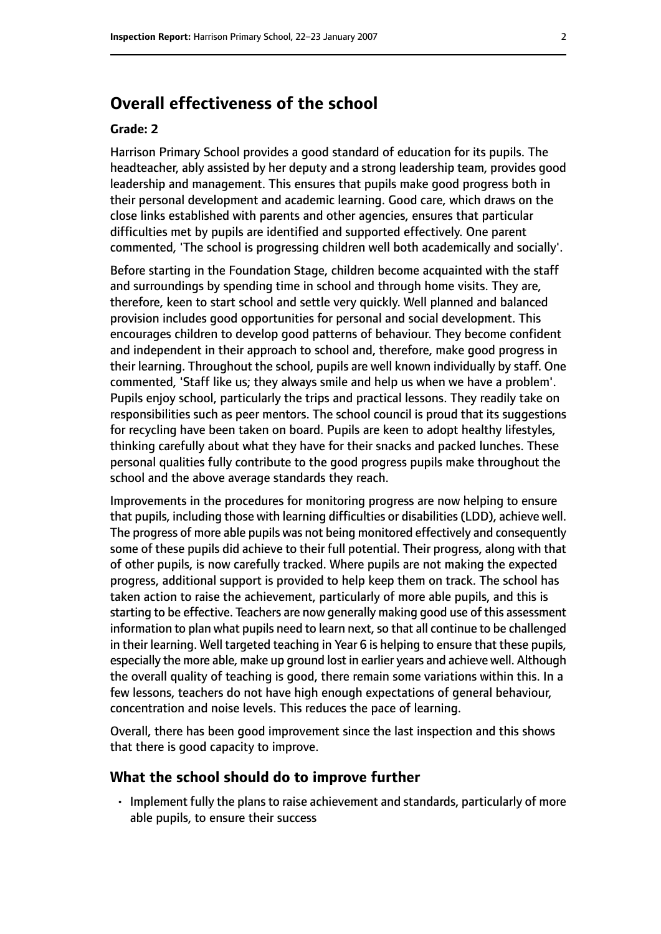## **Overall effectiveness of the school**

#### **Grade: 2**

Harrison Primary School provides a good standard of education for its pupils. The headteacher, ably assisted by her deputy and a strong leadership team, provides good leadership and management. This ensures that pupils make good progress both in their personal development and academic learning. Good care, which draws on the close links established with parents and other agencies, ensures that particular difficulties met by pupils are identified and supported effectively. One parent commented, 'The school is progressing children well both academically and socially'.

Before starting in the Foundation Stage, children become acquainted with the staff and surroundings by spending time in school and through home visits. They are, therefore, keen to start school and settle very quickly. Well planned and balanced provision includes good opportunities for personal and social development. This encourages children to develop good patterns of behaviour. They become confident and independent in their approach to school and, therefore, make good progress in their learning. Throughout the school, pupils are well known individually by staff. One commented, 'Staff like us; they always smile and help us when we have a problem'. Pupils enjoy school, particularly the trips and practical lessons. They readily take on responsibilities such as peer mentors. The school council is proud that its suggestions for recycling have been taken on board. Pupils are keen to adopt healthy lifestyles, thinking carefully about what they have for their snacks and packed lunches. These personal qualities fully contribute to the good progress pupils make throughout the school and the above average standards they reach.

Improvements in the procedures for monitoring progress are now helping to ensure that pupils, including those with learning difficulties or disabilities (LDD), achieve well. The progress of more able pupils was not being monitored effectively and consequently some of these pupils did achieve to their full potential. Their progress, along with that of other pupils, is now carefully tracked. Where pupils are not making the expected progress, additional support is provided to help keep them on track. The school has taken action to raise the achievement, particularly of more able pupils, and this is starting to be effective. Teachers are now generally making good use of this assessment information to plan what pupils need to learn next, so that all continue to be challenged in their learning. Well targeted teaching in Year 6 is helping to ensure that these pupils, especially the more able, make up ground lost in earlier years and achieve well. Although the overall quality of teaching is good, there remain some variations within this. In a few lessons, teachers do not have high enough expectations of general behaviour, concentration and noise levels. This reduces the pace of learning.

Overall, there has been good improvement since the last inspection and this shows that there is good capacity to improve.

#### **What the school should do to improve further**

• Implement fully the plans to raise achievement and standards, particularly of more able pupils, to ensure their success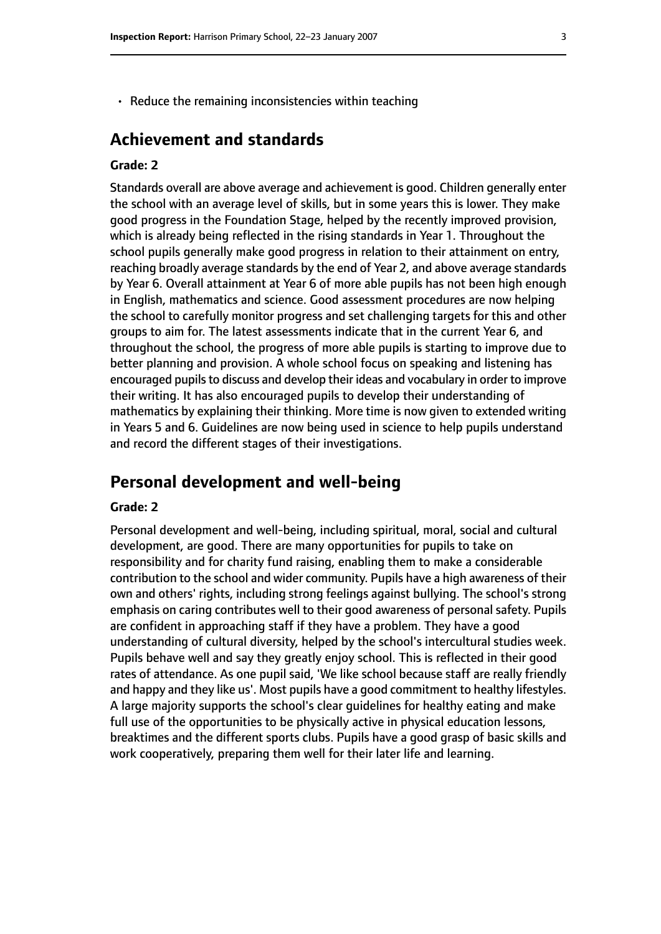• Reduce the remaining inconsistencies within teaching

## **Achievement and standards**

#### **Grade: 2**

Standards overall are above average and achievement is good. Children generally enter the school with an average level of skills, but in some years this is lower. They make good progress in the Foundation Stage, helped by the recently improved provision, which is already being reflected in the rising standards in Year 1. Throughout the school pupils generally make good progress in relation to their attainment on entry, reaching broadly average standards by the end of Year 2, and above average standards by Year 6. Overall attainment at Year 6 of more able pupils has not been high enough in English, mathematics and science. Good assessment procedures are now helping the school to carefully monitor progress and set challenging targets for this and other groups to aim for. The latest assessments indicate that in the current Year 6, and throughout the school, the progress of more able pupils is starting to improve due to better planning and provision. A whole school focus on speaking and listening has encouraged pupils to discuss and develop their ideas and vocabulary in order to improve their writing. It has also encouraged pupils to develop their understanding of mathematics by explaining their thinking. More time is now given to extended writing in Years 5 and 6. Guidelines are now being used in science to help pupils understand and record the different stages of their investigations.

## **Personal development and well-being**

#### **Grade: 2**

Personal development and well-being, including spiritual, moral, social and cultural development, are good. There are many opportunities for pupils to take on responsibility and for charity fund raising, enabling them to make a considerable contribution to the school and wider community. Pupils have a high awareness of their own and others' rights, including strong feelings against bullying. The school's strong emphasis on caring contributes well to their good awareness of personal safety. Pupils are confident in approaching staff if they have a problem. They have a good understanding of cultural diversity, helped by the school's intercultural studies week. Pupils behave well and say they greatly enjoy school. This is reflected in their good rates of attendance. As one pupil said, 'We like school because staff are really friendly and happy and they like us'. Most pupils have a good commitment to healthy lifestyles. A large majority supports the school's clear guidelines for healthy eating and make full use of the opportunities to be physically active in physical education lessons, breaktimes and the different sports clubs. Pupils have a good grasp of basic skills and work cooperatively, preparing them well for their later life and learning.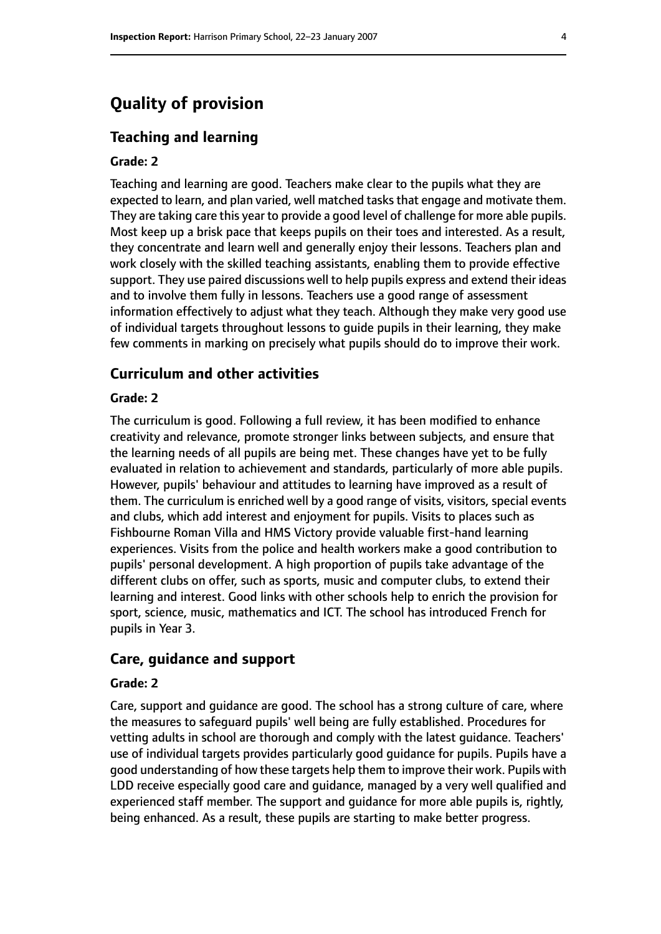## **Quality of provision**

#### **Teaching and learning**

#### **Grade: 2**

Teaching and learning are good. Teachers make clear to the pupils what they are expected to learn, and plan varied, well matched tasks that engage and motivate them. They are taking care this year to provide a good level of challenge for more able pupils. Most keep up a brisk pace that keeps pupils on their toes and interested. As a result, they concentrate and learn well and generally enjoy their lessons. Teachers plan and work closely with the skilled teaching assistants, enabling them to provide effective support. They use paired discussions well to help pupils express and extend their ideas and to involve them fully in lessons. Teachers use a good range of assessment information effectively to adjust what they teach. Although they make very good use of individual targets throughout lessons to guide pupils in their learning, they make few comments in marking on precisely what pupils should do to improve their work.

#### **Curriculum and other activities**

#### **Grade: 2**

The curriculum is good. Following a full review, it has been modified to enhance creativity and relevance, promote stronger links between subjects, and ensure that the learning needs of all pupils are being met. These changes have yet to be fully evaluated in relation to achievement and standards, particularly of more able pupils. However, pupils' behaviour and attitudes to learning have improved as a result of them. The curriculum is enriched well by a good range of visits, visitors, special events and clubs, which add interest and enjoyment for pupils. Visits to places such as Fishbourne Roman Villa and HMS Victory provide valuable first-hand learning experiences. Visits from the police and health workers make a good contribution to pupils' personal development. A high proportion of pupils take advantage of the different clubs on offer, such as sports, music and computer clubs, to extend their learning and interest. Good links with other schools help to enrich the provision for sport, science, music, mathematics and ICT. The school has introduced French for pupils in Year 3.

#### **Care, guidance and support**

#### **Grade: 2**

Care, support and guidance are good. The school has a strong culture of care, where the measures to safeguard pupils' well being are fully established. Procedures for vetting adults in school are thorough and comply with the latest guidance. Teachers' use of individual targets provides particularly good guidance for pupils. Pupils have a good understanding of how these targets help them to improve their work. Pupils with LDD receive especially good care and guidance, managed by a very well qualified and experienced staff member. The support and guidance for more able pupils is, rightly, being enhanced. As a result, these pupils are starting to make better progress.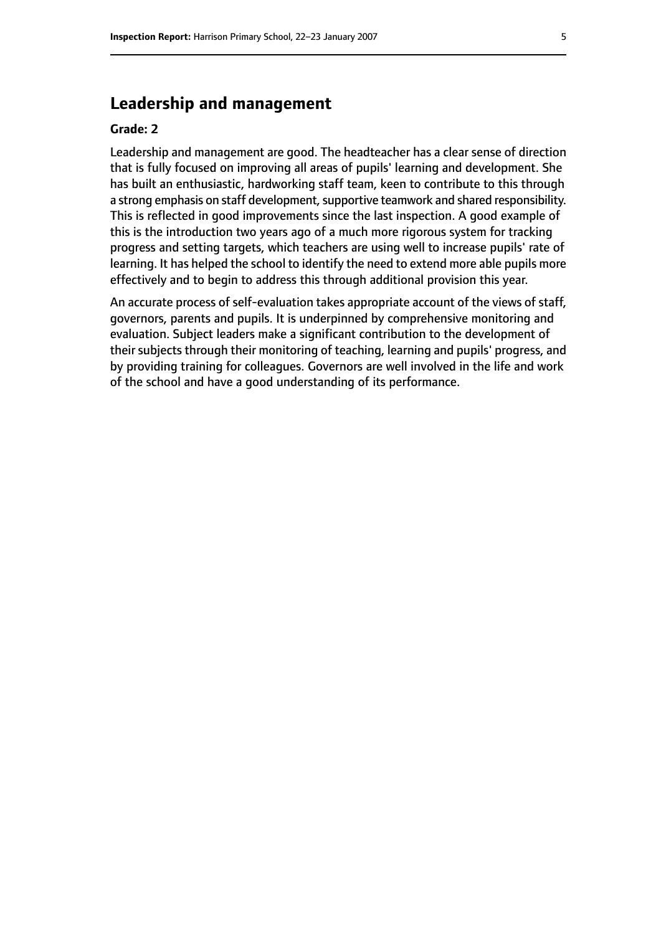## **Leadership and management**

#### **Grade: 2**

Leadership and management are good. The headteacher has a clear sense of direction that is fully focused on improving all areas of pupils' learning and development. She has built an enthusiastic, hardworking staff team, keen to contribute to this through a strong emphasis on staff development, supportive teamwork and shared responsibility. This is reflected in good improvements since the last inspection. A good example of this is the introduction two years ago of a much more rigorous system for tracking progress and setting targets, which teachers are using well to increase pupils' rate of learning. It has helped the school to identify the need to extend more able pupils more effectively and to begin to address this through additional provision this year.

An accurate process of self-evaluation takes appropriate account of the views of staff, governors, parents and pupils. It is underpinned by comprehensive monitoring and evaluation. Subject leaders make a significant contribution to the development of their subjects through their monitoring of teaching, learning and pupils' progress, and by providing training for colleagues. Governors are well involved in the life and work of the school and have a good understanding of its performance.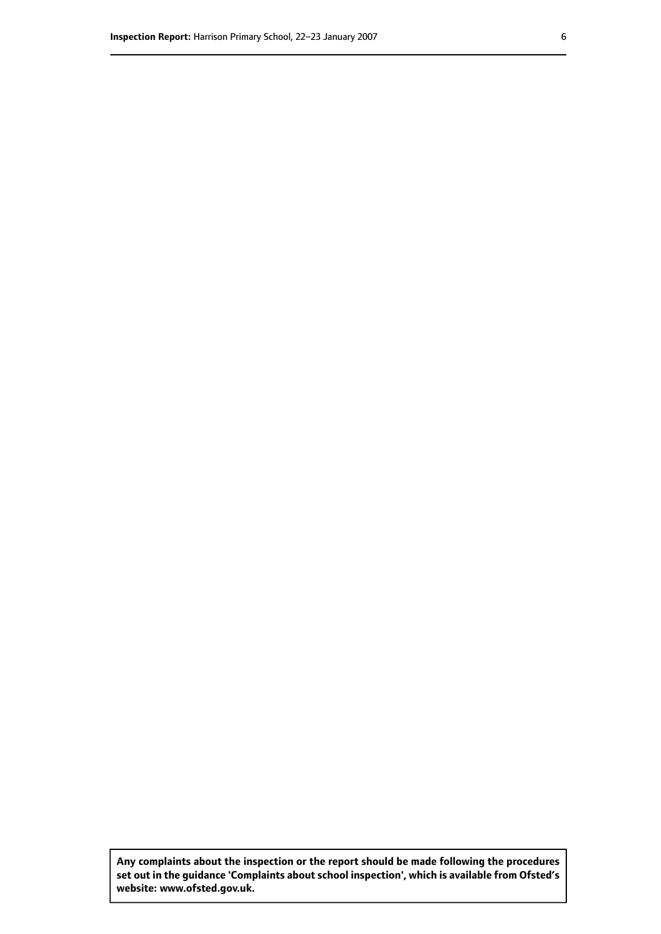**Any complaints about the inspection or the report should be made following the procedures set out inthe guidance 'Complaints about school inspection', whichis available from Ofsted's website: www.ofsted.gov.uk.**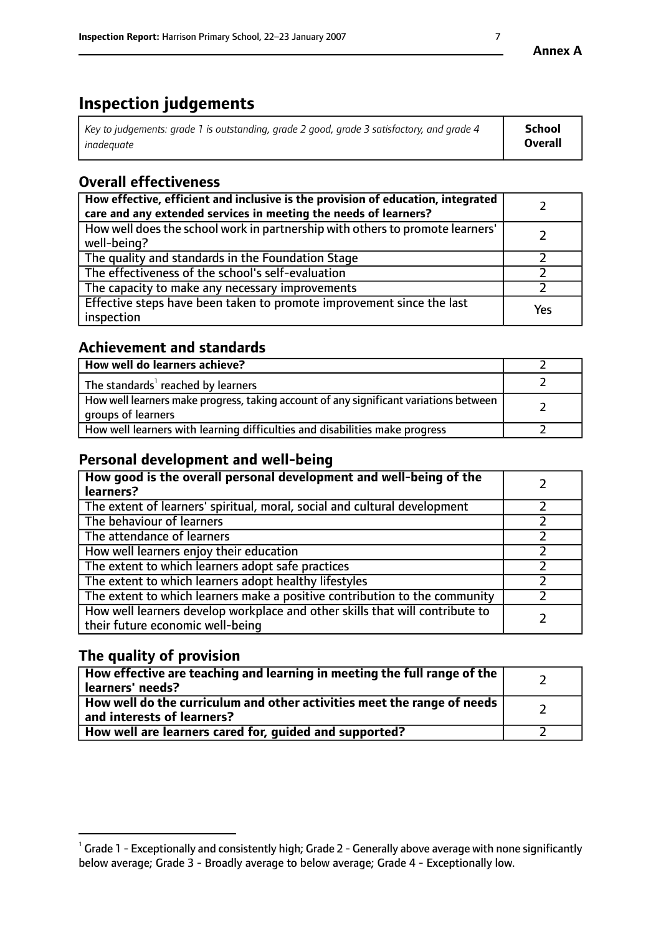# **Inspection judgements**

| $\vert$ Key to judgements: grade 1 is outstanding, grade 2 good, grade 3 satisfactory, and grade 4 | School         |
|----------------------------------------------------------------------------------------------------|----------------|
| inadeauate                                                                                         | <b>Overall</b> |

# **Overall effectiveness**

| How effective, efficient and inclusive is the provision of education, integrated<br>care and any extended services in meeting the needs of learners? |     |
|------------------------------------------------------------------------------------------------------------------------------------------------------|-----|
| How well does the school work in partnership with others to promote learners'<br>well-being?                                                         |     |
| The quality and standards in the Foundation Stage                                                                                                    |     |
| The effectiveness of the school's self-evaluation                                                                                                    |     |
| The capacity to make any necessary improvements                                                                                                      |     |
| Effective steps have been taken to promote improvement since the last<br>inspection                                                                  | Yes |

## **Achievement and standards**

| How well do learners achieve?                                                                               |  |
|-------------------------------------------------------------------------------------------------------------|--|
| The standards <sup>1</sup> reached by learners                                                              |  |
| How well learners make progress, taking account of any significant variations between<br>groups of learners |  |
| How well learners with learning difficulties and disabilities make progress                                 |  |

## **Personal development and well-being**

| How good is the overall personal development and well-being of the<br>learners?                                  |  |
|------------------------------------------------------------------------------------------------------------------|--|
| The extent of learners' spiritual, moral, social and cultural development                                        |  |
| The behaviour of learners                                                                                        |  |
| The attendance of learners                                                                                       |  |
| How well learners enjoy their education                                                                          |  |
| The extent to which learners adopt safe practices                                                                |  |
| The extent to which learners adopt healthy lifestyles                                                            |  |
| The extent to which learners make a positive contribution to the community                                       |  |
| How well learners develop workplace and other skills that will contribute to<br>their future economic well-being |  |

## **The quality of provision**

| How effective are teaching and learning in meeting the full range of the<br>  learners' needs?                      |  |
|---------------------------------------------------------------------------------------------------------------------|--|
| $\mid$ How well do the curriculum and other activities meet the range of needs<br>$\mid$ and interests of learners? |  |
| How well are learners cared for, guided and supported?                                                              |  |

 $^1$  Grade 1 - Exceptionally and consistently high; Grade 2 - Generally above average with none significantly below average; Grade 3 - Broadly average to below average; Grade 4 - Exceptionally low.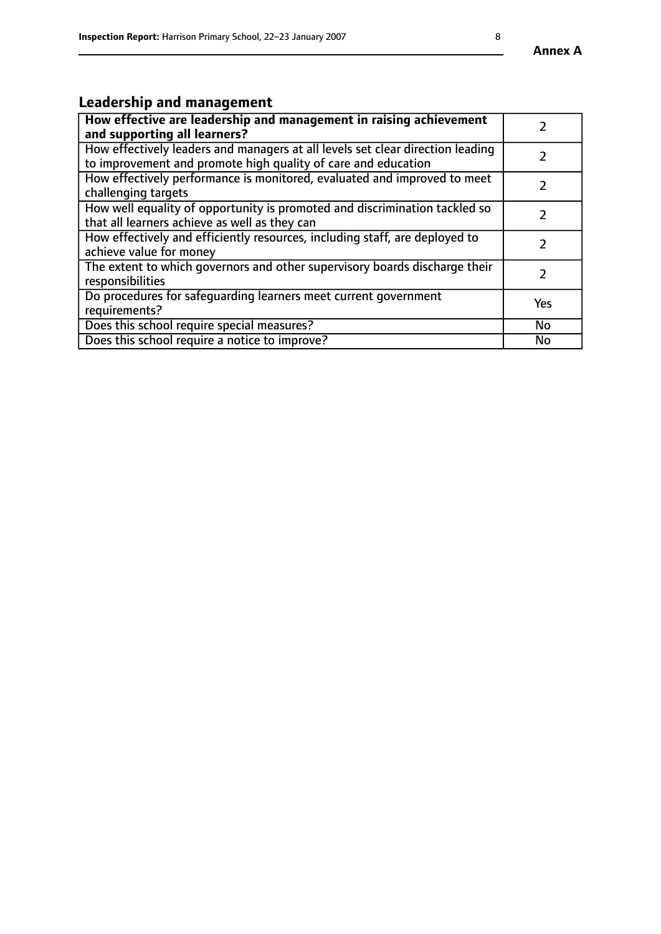#### **Annex A**

# **Leadership and management**

| How effective are leadership and management in raising achievement<br>and supporting all learners?                                              |           |
|-------------------------------------------------------------------------------------------------------------------------------------------------|-----------|
| How effectively leaders and managers at all levels set clear direction leading<br>to improvement and promote high quality of care and education |           |
| How effectively performance is monitored, evaluated and improved to meet<br>challenging targets                                                 |           |
| How well equality of opportunity is promoted and discrimination tackled so<br>that all learners achieve as well as they can                     |           |
| How effectively and efficiently resources, including staff, are deployed to<br>achieve value for money                                          |           |
| The extent to which governors and other supervisory boards discharge their<br>responsibilities                                                  |           |
| Do procedures for safequarding learners meet current government<br>requirements?                                                                | Yes       |
| Does this school require special measures?                                                                                                      | <b>No</b> |
| Does this school require a notice to improve?                                                                                                   | <b>No</b> |